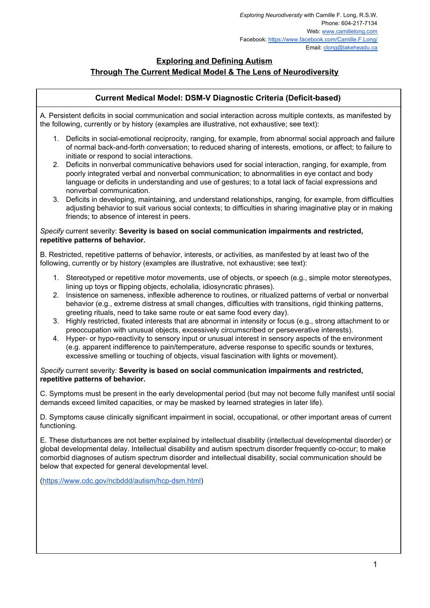# **Exploring and Defining Autism**

# **Through The Current Medical Model & The Lens of Neurodiversity**

# **Current Medical Model: DSM-V Diagnostic Criteria (Deficit-based)**

A. Persistent deficits in social communication and social interaction across multiple contexts, as manifested by the following, currently or by history (examples are illustrative, not exhaustive; see text):

- 1. Deficits in social-emotional reciprocity, ranging, for example, from abnormal social approach and failure of normal back-and-forth conversation; to reduced sharing of interests, emotions, or affect; to failure to initiate or respond to social interactions.
- 2. Deficits in nonverbal communicative behaviors used for social interaction, ranging, for example, from poorly integrated verbal and nonverbal communication; to abnormalities in eye contact and body language or deficits in understanding and use of gestures; to a total lack of facial expressions and nonverbal communication.
- 3. Deficits in developing, maintaining, and understand relationships, ranging, for example, from difficulties adjusting behavior to suit various social contexts; to difficulties in sharing imaginative play or in making friends; to absence of interest in peers.

#### *Specify* current severity: **Severity is based on social communication impairments and restricted, repetitive patterns of behavior.**

B. Restricted, repetitive patterns of behavior, interests, or activities, as manifested by at least two of the following, currently or by history (examples are illustrative, not exhaustive; see text):

- 1. Stereotyped or repetitive motor movements, use of objects, or speech (e.g., simple motor stereotypes, lining up toys or flipping objects, echolalia, idiosyncratic phrases).
- 2. Insistence on sameness, inflexible adherence to routines, or ritualized patterns of verbal or nonverbal behavior (e.g., extreme distress at small changes, difficulties with transitions, rigid thinking patterns, greeting rituals, need to take same route or eat same food every day).
- 3. Highly restricted, fixated interests that are abnormal in intensity or focus (e.g., strong attachment to or preoccupation with unusual objects, excessively circumscribed or perseverative interests).
- 4. Hyper- or hypo-reactivity to sensory input or unusual interest in sensory aspects of the environment (e.g. apparent indifference to pain/temperature, adverse response to specific sounds or textures, excessive smelling or touching of objects, visual fascination with lights or movement).

#### *Specify* current severity: **Severity is based on social communication impairments and restricted, repetitive patterns of behavior.**

C. Symptoms must be present in the early developmental period (but may not become fully manifest until social demands exceed limited capacities, or may be masked by learned strategies in later life).

D. Symptoms cause clinically significant impairment in social, occupational, or other important areas of current functioning.

E. These disturbances are not better explained by intellectual disability (intellectual developmental disorder) or global developmental delay. Intellectual disability and autism spectrum disorder frequently co-occur; to make comorbid diagnoses of autism spectrum disorder and intellectual disability, social communication should be below that expected for general developmental level.

(<https://www.cdc.gov/ncbddd/autism/hcp-dsm.html>)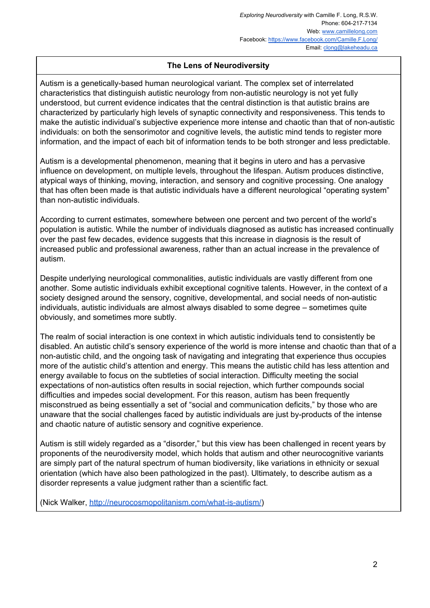# **The Lens of Neurodiversity**

Autism is a genetically-based human neurological variant. The complex set of interrelated characteristics that distinguish autistic neurology from non-autistic neurology is not yet fully understood, but current evidence indicates that the central distinction is that autistic brains are characterized by particularly high levels of synaptic connectivity and responsiveness. This tends to make the autistic individual's subjective experience more intense and chaotic than that of non-autistic individuals: on both the sensorimotor and cognitive levels, the autistic mind tends to register more information, and the impact of each bit of information tends to be both stronger and less predictable.

Autism is a developmental phenomenon, meaning that it begins in utero and has a pervasive influence on development, on multiple levels, throughout the lifespan. Autism produces distinctive, atypical ways of thinking, moving, interaction, and sensory and cognitive processing. One analogy that has often been made is that autistic individuals have a different neurological "operating system" than non-autistic individuals.

According to current estimates, somewhere between one percent and two percent of the world's population is autistic. While the number of individuals diagnosed as autistic has increased continually over the past few decades, evidence suggests that this increase in diagnosis is the result of increased public and professional awareness, rather than an actual increase in the prevalence of autism.

Despite underlying neurological commonalities, autistic individuals are vastly different from one another. Some autistic individuals exhibit exceptional cognitive talents. However, in the context of a society designed around the sensory, cognitive, developmental, and social needs of non-autistic individuals, autistic individuals are almost always disabled to some degree – sometimes quite obviously, and sometimes more subtly.

The realm of social interaction is one context in which autistic individuals tend to consistently be disabled. An autistic child's sensory experience of the world is more intense and chaotic than that of a non-autistic child, and the ongoing task of navigating and integrating that experience thus occupies more of the autistic child's attention and energy. This means the autistic child has less attention and energy available to focus on the subtleties of social interaction. Difficulty meeting the social expectations of non-autistics often results in social rejection, which further compounds social difficulties and impedes social development. For this reason, autism has been frequently misconstrued as being essentially a set of "social and communication deficits," by those who are unaware that the social challenges faced by autistic individuals are just by-products of the intense and chaotic nature of autistic sensory and cognitive experience.

Autism is still widely regarded as a "disorder," but this view has been challenged in recent years by proponents of the neurodiversity model, which holds that autism and other neurocognitive variants are simply part of the natural spectrum of human biodiversity, like variations in ethnicity or sexual orientation (which have also been pathologized in the past). Ultimately, to describe autism as a disorder represents a value judgment rather than a scientific fact.

(Nick Walker, [http://neurocosmopolitanism.com/what-is-autism/\)](http://neurocosmopolitanism.com/what-is-autism/)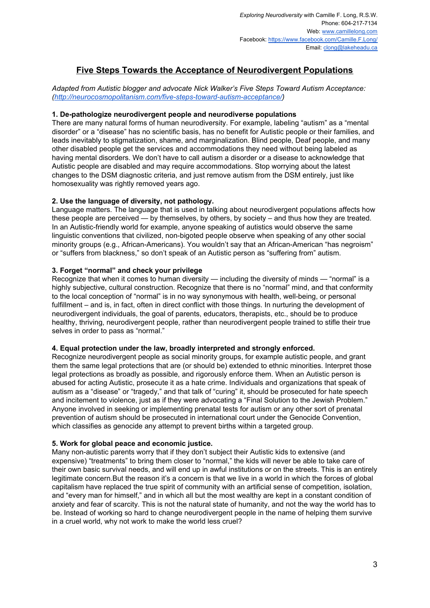# **Five Steps Towards the Acceptance of Neurodivergent Populations**

*Adapted from Autistic blogger and advocate Nick Walker's Five Steps Toward Autism Acceptance: [\(http://neurocosmopolitanism.com/five-steps-toward-autism-acceptance/](http://neurocosmopolitanism.com/five-steps-toward-autism-acceptance/))*

## **1. De-pathologize neurodivergent people and neurodiverse populations**

There are many natural forms of human neurodiversity. For example, labeling "autism" as a "mental disorder" or a "disease" has no scientific basis, has no benefit for Autistic people or their families, and leads inevitably to stigmatization, shame, and marginalization. Blind people, Deaf people, and many other disabled people get the services and accommodations they need without being labeled as having mental disorders. We don't have to call autism a disorder or a disease to acknowledge that Autistic people are disabled and may require accommodations. Stop worrying about the latest changes to the DSM diagnostic criteria, and just remove autism from the DSM entirely, just like homosexuality was rightly removed years ago.

## **2. Use the language of diversity, not pathology.**

Language matters. The language that is used in talking about neurodivergent populations affects how these people are perceived — by themselves, by others, by society – and thus how they are treated. In an Autistic-friendly world for example, anyone speaking of autistics would observe the same linguistic conventions that civilized, non-bigoted people observe when speaking of any other social minority groups (e.g., African-Americans). You wouldn't say that an African-American "has negroism" or "suffers from blackness," so don't speak of an Autistic person as "suffering from" autism.

## **3. Forget "normal" and check your privilege**

Recognize that when it comes to human diversity — including the diversity of minds — "normal" is a highly subjective, cultural construction. Recognize that there is no "normal" mind, and that conformity to the local conception of "normal" is in no way synonymous with health, well-being, or personal fulfillment – and is, in fact, often in direct conflict with those things. In nurturing the development of neurodivergent individuals, the goal of parents, educators, therapists, etc., should be to produce healthy, thriving, neurodivergent people, rather than neurodivergent people trained to stifle their true selves in order to pass as "normal."

#### **4. Equal protection under the law, broadly interpreted and strongly enforced.**

Recognize neurodivergent people as social minority groups, for example autistic people, and grant them the same legal protections that are (or should be) extended to ethnic minorities. Interpret those legal protections as broadly as possible, and rigorously enforce them. When an Autistic person is abused for acting Autistic, prosecute it as a hate crime. Individuals and organizations that speak of autism as a "disease" or "tragedy," and that talk of "curing" it, should be prosecuted for hate speech and incitement to violence, just as if they were advocating a "Final Solution to the Jewish Problem." Anyone involved in seeking or implementing prenatal tests for autism or any other sort of prenatal prevention of autism should be prosecuted in international court under the Genocide Convention, which classifies as genocide any attempt to prevent births within a targeted group.

#### **5. Work for global peace and economic justice.**

Many non-autistic parents worry that if they don't subject their Autistic kids to extensive (and expensive) "treatments" to bring them closer to "normal," the kids will never be able to take care of their own basic survival needs, and will end up in awful institutions or on the streets. This is an entirely legitimate concern.But the reason it's a concern is that we live in a world in which the forces of global capitalism have replaced the true spirit of community with an artificial sense of competition, isolation, and "every man for himself," and in which all but the most wealthy are kept in a constant condition of anxiety and fear of scarcity. This is not the natural state of humanity, and not the way the world has to be. Instead of working so hard to change neurodivergent people in the name of helping them survive in a cruel world, why not work to make the world less cruel?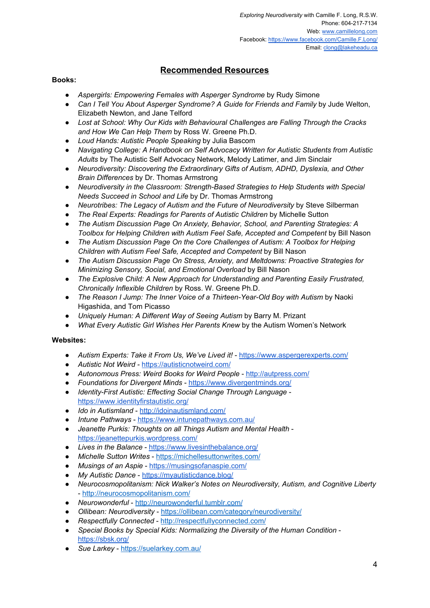# **Recommended Resources**

## **Books:**

- *Aspergirls: Empowering Females with Asperger Syndrome* by Rudy Simone
- *Can I Tell You About Asperger Syndrome? A Guide for Friends and Family* by Jude Welton, Elizabeth Newton, and Jane Telford
- *Lost at School: Why Our Kids with Behavioural Challenges are Falling Through the Cracks and How We Can Help Them* by Ross W. Greene Ph.D.
- *Loud Hands: Autistic People Speaking* by Julia Bascom
- *Navigating College: A Handbook on Self Advocacy Written for Autistic Students from Autistic Adults* by The Autistic Self Advocacy Network, Melody Latimer, and Jim Sinclair
- *Neurodiversity: Discovering the Extraordinary Gifts of Autism, ADHD, Dyslexia, and Other Brain Differences* by Dr. Thomas Armstrong
- *Neurodiversity in the Classroom: Strength-Based Strategies to Help Students with Special Needs Succeed in School and Life* by Dr. Thomas Armstrong
- *Neurotribes: The Legacy of Autism and the Future of Neurodiversity* by Steve Silberman
- *The Real Experts: Readings for Parents of Autistic Children* by Michelle Sutton
- *The Autism Discussion Page On Anxiety, Behavior, School, and Parenting Strategies: A Toolbox for Helping Children with Autism Feel Safe, Accepted and Competent* by Bill Nason
- *The Autism Discussion Page On the Core Challenges of Autism: A Toolbox for Helping Children with Autism Feel Safe, Accepted and Competent* by Bill Nason
- *The Autism Discussion Page On Stress, Anxiety, and Meltdowns: Proactive Strategies for Minimizing Sensory, Social, and Emotional Overload* by Bill Nason
- *The Explosive Child: A New Approach for Understanding and Parenting Easily Frustrated, Chronically Inflexible Children* by Ross. W. Greene Ph.D.
- *The Reason I Jump: The Inner Voice of a Thirteen-Year-Old Boy with Autism* by Naoki Higashida, and Tom Picasso
- *Uniquely Human: A Different Way of Seeing Autism* by Barry M. Prizant
- *What Every Autistic Girl Wishes Her Parents Knew* by the Autism Women's Network

#### **Websites:**

- *Autism Experts: Take it From Us, We've Lived it!* <https://www.aspergerexperts.com/>
- *Autistic Not Weird -* <https://autisticnotweird.com/>
- *Autonomous Press: Weird Books for Weird People* <http://autpress.com/>
- *● Foundations for Divergent Minds* <https://www.divergentminds.org/>
- *● Identity-First Autistic: Effecting Social Change Through Language* <https://www.identityfirstautistic.org/>
- *Ido in Autismland* <http://idoinautismland.com/>
- *● Intune Pathways* <https://www.intunepathways.com.au/>
- *Jeanette Purkis: Thoughts on all Things Autism and Mental Health* <https://jeanettepurkis.wordpress.com/>
- *● Lives in the Balance* <https://www.livesinthebalance.org/>
- *Michelle Sutton Writes* <https://michellesuttonwrites.com/>
- *● Musings of an Aspie* <https://musingsofanaspie.com/>
- *● My Autistic Dance* <https://myautisticdance.blog/>
- *Neurocosmopolitanism: Nick Walker's Notes on Neurodiversity, Autism, and Cognitive Liberty* - <http://neurocosmopolitanism.com/>
- *Neurowonderful* <http://neurowonderful.tumblr.com/>
- *Ollibean: Neurodiversity* <https://ollibean.com/category/neurodiversity/>
- *Respectfully Connected* <http://respectfullyconnected.com/>
- *● Special Books by Special Kids: Normalizing the Diversity of the Human Condition* <https://sbsk.org/>
- *Sue Larkey* <https://suelarkey.com.au/>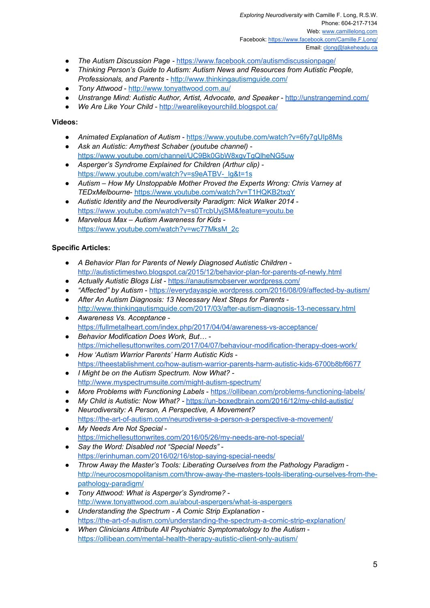*Exploring Neurodiversity* with Camille F. Long, R.S.W. Phone: 604-217-7134 Web: [www.camillelong.com](http://www.camillelong.com/) Facebook: <https://www.facebook.com/Camille.F.Long/> Email: [clong@lakeheadu.ca](mailto:clong@lakeheadu.ca)

- *The Autism Discussion Page -* <https://www.facebook.com/autismdiscussionpage/>
- *Thinking Person's Guide to Autism: Autism News and Resources from Autistic People, Professionals, and Parents* - <http://www.thinkingautismguide.com/>
- *Tony Attwood* <http://www.tonyattwood.com.au/>
- *● Unstrange Mind: Autistic Author, Artist, Advocate, and Speaker* <http://unstrangemind.com/>
- *We Are Like Your Child* <http://wearelikeyourchild.blogspot.ca/>

#### **Videos:**

- *● Animated Explanation of Autism* <https://www.youtube.com/watch?v=6fy7gUIp8Ms>
- *Ask an Autistic: Amythest Schaber (youtube channel)* <https://www.youtube.com/channel/UC9Bk0GbW8xgvTgQlheNG5uw>
- *Asperger's Syndrome Explained for Children (Arthur clip)* [https://www.youtube.com/watch?v=s9eATBV-\\_lg&t=1s](https://www.youtube.com/watch?v=s9eATBV-_lg&t=1s)
- *Autism – How My Unstoppable Mother Proved the Experts Wrong: Chris Varney at TEDxMelbourne*- <https://www.youtube.com/watch?v=T1HQKB2txgY>
- *● Autistic Identity and the Neurodiversity Paradigm: Nick Walker 2014* <https://www.youtube.com/watch?v=s0TrcbUyjSM&feature=youtu.be>
- *Marvelous Max – Autism Awareness for Kids* [https://www.youtube.com/watch?v=wc77MksM\\_2c](https://www.youtube.com/watch?v=wc77MksM_2c)

## **Specific Articles:**

- *● A Behavior Plan for Parents of Newly Diagnosed Autistic Children* <http://autistictimestwo.blogspot.ca/2015/12/behavior-plan-for-parents-of-newly.html>
- *Actually Autistic Blogs List* <https://anautismobserver.wordpress.com/>
- *"Affected" by Autism* <https://everydayaspie.wordpress.com/2016/08/09/affected-by-autism/>
- *After An Autism Diagnosis: 13 Necessary Next Steps for Parents* <http://www.thinkingautismguide.com/2017/03/after-autism-diagnosis-13-necessary.html>
- *● Awareness Vs. Acceptance* <https://fullmetalheart.com/index.php/2017/04/04/awareness-vs-acceptance/> *● Behavior Modification Does Work, But…* -
- <https://michellesuttonwrites.com/2017/04/07/behaviour-modification-therapy-does-work/>
- *How 'Autism Warrior Parents' Harm Autistic Kids* <https://theestablishment.co/how-autism-warrior-parents-harm-autistic-kids-6700b8bf6677>
- *I Might be on the Autism Spectrum. Now What?* <http://www.myspectrumsuite.com/might-autism-spectrum/>
- *● More Problems with Functioning Labels* <https://ollibean.com/problems-functioning-labels/>
- *● My Child is Autistic: Now What? -* <https://un-boxedbrain.com/2016/12/my-child-autistic/>
- *Neurodiversity: A Person, A Perspective, A Movement?* <https://the-art-of-autism.com/neurodiverse-a-person-a-perspective-a-movement/>
- *● My Needs Are Not Special* <https://michellesuttonwrites.com/2016/05/26/my-needs-are-not-special/>
- *Say the Word: Disabled not "Special Needs"* <https://erinhuman.com/2016/02/16/stop-saying-special-needs/>
- *Throw Away the Master's Tools: Liberating Ourselves from the Pathology Paradigm* [http://neurocosmopolitanism.com/throw-away-the-masters-tools-liberating-ourselves-from-the](http://neurocosmopolitanism.com/throw-away-the-masters-tools-liberating-ourselves-from-the-pathology-paradigm/)[pathology-paradigm/](http://neurocosmopolitanism.com/throw-away-the-masters-tools-liberating-ourselves-from-the-pathology-paradigm/)
- *● Tony Attwood: What is Asperger's Syndrome?* <http://www.tonyattwood.com.au/about-aspergers/what-is-aspergers>
- *● Understanding the Spectrum - A Comic Strip Explanation* <https://the-art-of-autism.com/understanding-the-spectrum-a-comic-strip-explanation/>
- *When Clinicians Attribute All Psychiatric Symptomatology to the Autism* <https://ollibean.com/mental-health-therapy-autistic-client-only-autism/>